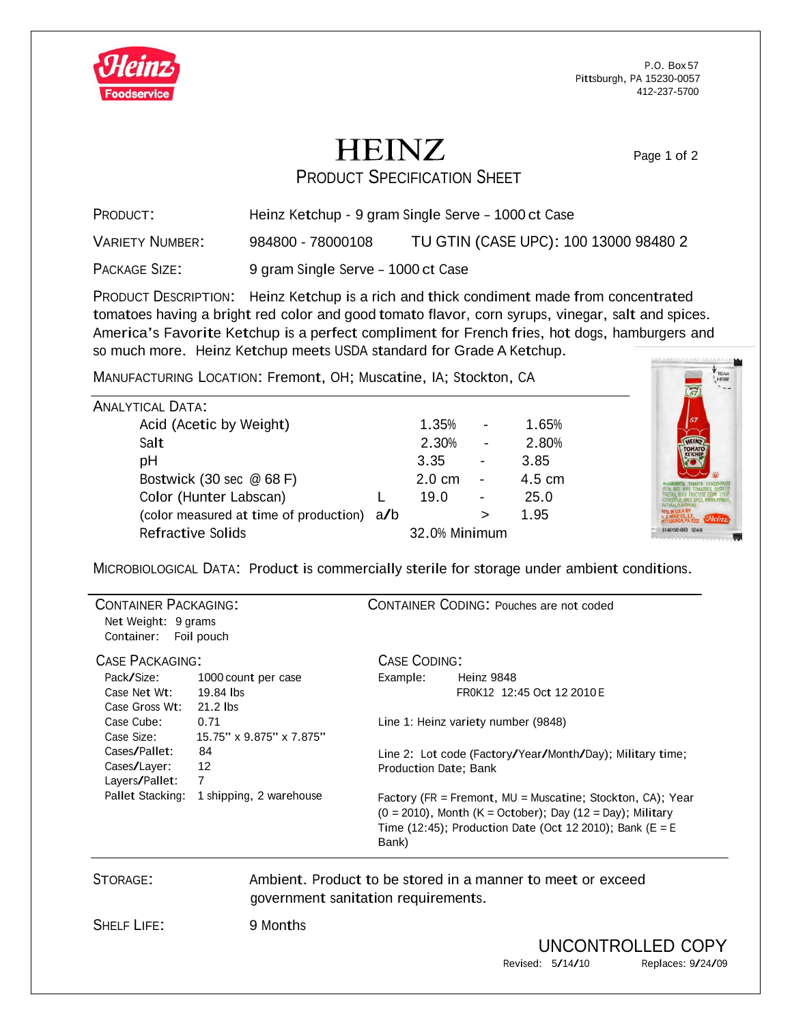

P.O. Box 57 Pittsburgh, PA 15230-0057 412-237-5700

## **HEINZ** PRODUCT SPECIFICATION SHEET

Page 1 of 2

| PRODUCT:               | Heinz Ketchup - 9 gram Single Serve - 1000 ct Case |                                       |  |
|------------------------|----------------------------------------------------|---------------------------------------|--|
| <b>VARIETY NUMBER:</b> | 984800 - 78000108                                  | TU GTIN (CASE UPC): 100 13000 98480 2 |  |
| PACKAGE SIZE:          | 9 gram Single Serve - 1000 ct Case                 |                                       |  |

PRODUCT DESCRIPTION: Heinz Ketchup is a rich and thick condiment made from concentrated tomatoes having a bright red color and good tomato flavor, corn syrups, vinegar, salt and spices. America's Favorite Ketchup is <sup>a</sup> perfect compliment for French fries, hot dogs, hamburgers and so much more. Heinz Ketchup meets USDA standard for Grade A Ketchup.

MANUFACTURING LOCATION: Fremont, OH; Muscatine, IA; Stockton, CA

| <b>ANALYTICAL DATA:</b>                    |  |                  |                          |                  |
|--------------------------------------------|--|------------------|--------------------------|------------------|
| Acid (Acetic by Weight)                    |  | 1.35%            |                          | 1.65%            |
| Salt                                       |  | 2.30%            | $\overline{\phantom{a}}$ | 2.80%            |
| pH                                         |  | 3.35             |                          | 3.85             |
| Bostwick (30 sec @ 68 F)                   |  | $2.0 \text{ cm}$ | $\blacksquare$           | $4.5 \text{ cm}$ |
| Color (Hunter Labscan)                     |  | 19.0             |                          | 25.0             |
| (color measured at time of production) a/b |  |                  |                          | 1.95             |
| <b>Refractive Solids</b>                   |  | 32.0% Minimum    |                          |                  |



| <b>CONTAINER PACKAGING:</b><br>Net Weight: 9 grams<br>Container: | Foil pouch               |                                                                                                                                                                                                         | <b>CONTAINER CODING: Pouches are not coded</b>            |
|------------------------------------------------------------------|--------------------------|---------------------------------------------------------------------------------------------------------------------------------------------------------------------------------------------------------|-----------------------------------------------------------|
| <b>CASE PACKAGING:</b>                                           |                          | <b>CASE CODING:</b>                                                                                                                                                                                     |                                                           |
| Pack/Size:                                                       | 1000 count per case      | Example:                                                                                                                                                                                                | Heinz 9848                                                |
| Case Net Wt:                                                     | 19.84 lbs                |                                                                                                                                                                                                         | FR0K12 12:45 Oct 12 2010 E                                |
| Case Gross Wt:                                                   | 21.2 lbs                 |                                                                                                                                                                                                         |                                                           |
| Case Cube:                                                       | 0.71                     |                                                                                                                                                                                                         | Line 1: Heinz variety number (9848)                       |
| Case Size:                                                       | 15.75" x 9.875" x 7.875" |                                                                                                                                                                                                         |                                                           |
| Cases/Pallet:                                                    | 84                       |                                                                                                                                                                                                         | Line 2: Lot code (Factory/Year/Month/Day); Military time; |
| Cases/Layer:                                                     | 12                       | Production Date; Bank                                                                                                                                                                                   |                                                           |
| Layers/Pallet:                                                   | 7                        |                                                                                                                                                                                                         |                                                           |
| Pallet Stacking:                                                 | 1 shipping, 2 warehouse  | Factory (FR = Fremont, $MU =$ Muscatine; Stockton, CA); Year<br>$(0 = 2010)$ , Month $(K = October)$ ; Day $(12 = Day)$ ; Military<br>Time (12:45); Production Date (Oct 12 2010); Bank (E = E<br>Bank) |                                                           |

STORAGE: Ambient. Product to be stored in a manner to meet or exceed government sanitation requirements.

SHELF LIFE: 9 Months

UNCONTROLLED COPY<br>Revised: 5/14/10 Replaces: 9/24/09 Replaces: 9/24/09